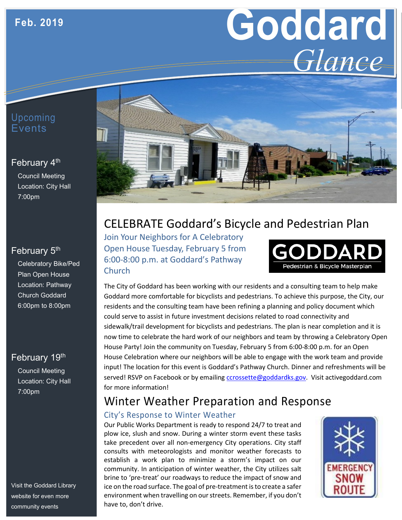# **Goddard** *Glance*

## Upcoming **E**vents

#### February 4<sup>th</sup>

Council Meeting Location: City Hall 7:00pm

#### February 5<sup>th</sup>

Celebratory Bike/Ped Plan Open House Location: Pathway Church Goddard 6:00pm to 8:00pm

#### February 19th

Council Meeting Location: City Hall 7:00pm

Visit the Goddard Library website for even more community events



# CELEBRATE Goddard's Bicycle and Pedestrian Plan

Join Your Neighbors for A Celebratory Open House Tuesday, February 5 from 6:00-8:00 p.m. at Goddard's Pathway **Church** 



The City of Goddard has been working with our residents and a consulting team to help make Goddard more comfortable for bicyclists and pedestrians. To achieve this purpose, the City, our residents and the consulting team have been refining a planning and policy document which could serve to assist in future investment decisions related to road connectivity and sidewalk/trail development for bicyclists and pedestrians. The plan is near completion and it is now time to celebrate the hard work of our neighbors and team by throwing a Celebratory Open House Party! Join the community on Tuesday, February 5 from 6:00-8:00 p.m. for an Open House Celebration where our neighbors will be able to engage with the work team and provide input! The location for this event is Goddard's Pathway Church. Dinner and refreshments will be served! RSVP on Facebook or by emailing [ccrossette@goddardks.gov.](mailto:ccrossette@goddardks.gov) Visit activegoddard.com for more information!

## Winter Weather Preparation and Response

#### City's Response to Winter Weather

Our Public Works Department is ready to respond 24/7 to treat and plow ice, slush and snow. During a winter storm event these tasks take precedent over all non-emergency City operations. City staff consults with meteorologists and monitor weather forecasts to establish a work plan to minimize a storm's impact on our community. In anticipation of winter weather, the City utilizes salt brine to 'pre-treat' our roadways to reduce the impact of snow and ice on the road surface. The goal of pre-treatment is to create a safer environment when travelling on our streets. Remember, if you don't have to, don't drive.